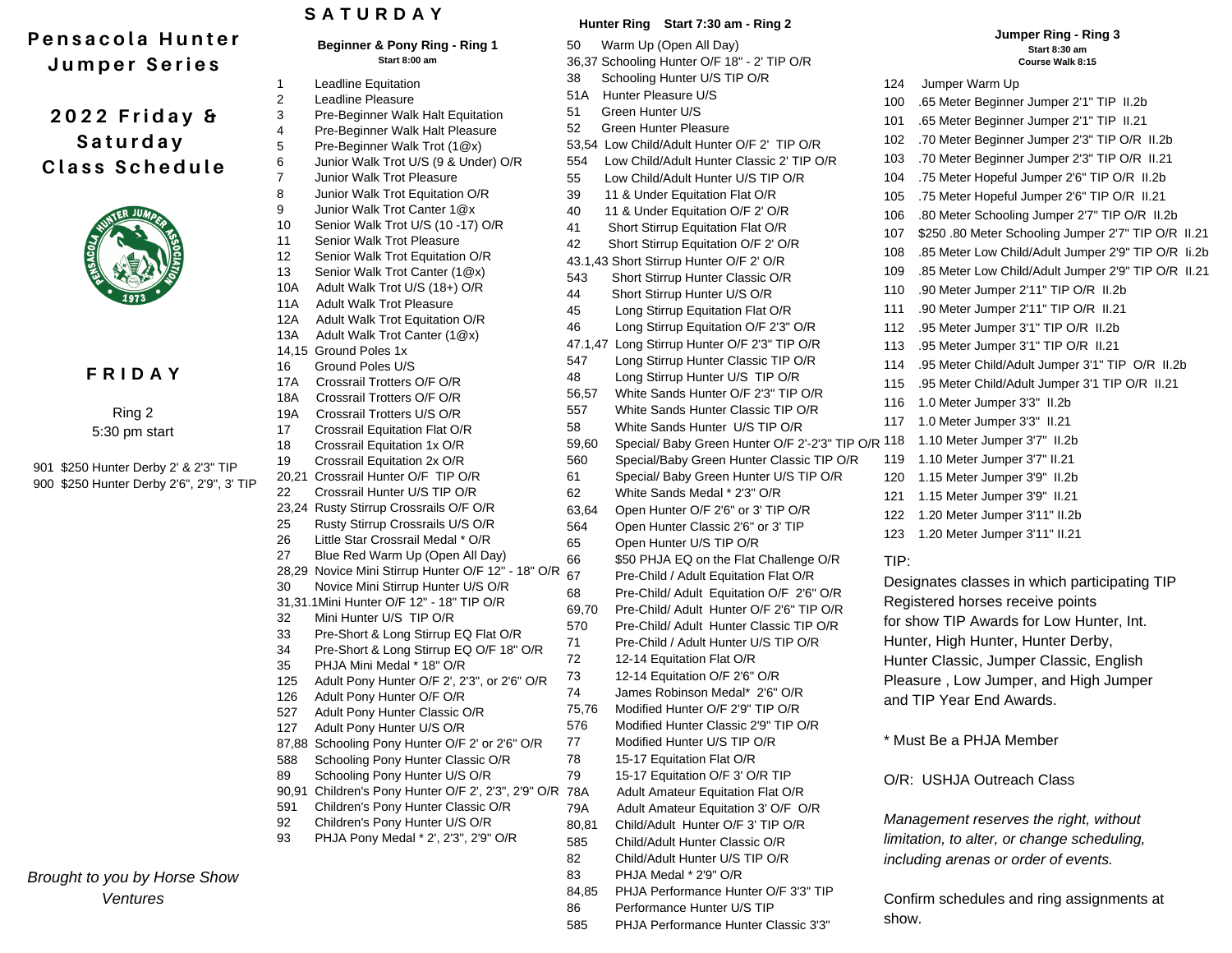# **P e n s a c o l a H u n t e r**

**J u m p e r S e r i e s**

## **2 0 2 2 F r i d a y & S a t u r d a y C l a s s S c h e d u l e**



## **F R I D A Y**

Ring 2 5:30 pm start

901 \$250 Hunter Derby 2' & 2'3" TIP 900 \$250 Hunter Derby 2'6", 2'9", 3' TIP

*Brought to you by Horse Show Ventures*

## **S A T U R D A Y**

|            | Beginner & Pony Ring - Ring 1<br>Start 8:00 am                           | 50<br>36,37 |
|------------|--------------------------------------------------------------------------|-------------|
| 1          | <b>Leadline Equitation</b>                                               | 38          |
| 2          | Leadline Pleasure                                                        | 51A         |
| 3          | Pre-Beginner Walk Halt Equitation                                        | 51          |
| 4          | Pre-Beginner Walk Halt Pleasure                                          | 52          |
| 5          | Pre-Beginner Walk Trot (1@x)                                             | 53,54       |
| 6          | Junior Walk Trot U/S (9 & Under) O/R                                     | 554         |
| 7          | Junior Walk Trot Pleasure                                                | 55          |
| 8          | Junior Walk Trot Equitation O/R                                          | 39          |
| 9          | Junior Walk Trot Canter 1@x                                              | 40          |
| 10         | Senior Walk Trot U/S (10 -17) O/R                                        | 41          |
| 11         | Senior Walk Trot Pleasure                                                | 42          |
| 12         | Senior Walk Trot Equitation O/R                                          | 43.1,4      |
| 13         | Senior Walk Trot Canter (1@x)                                            | 543         |
| 10A        | Adult Walk Trot U/S (18+) O/R                                            | 44          |
| 11A<br>12A | <b>Adult Walk Trot Pleasure</b><br>Adult Walk Trot Equitation O/R        | 45          |
| 13A        | Adult Walk Trot Canter (1@x)                                             | 46          |
|            | 14,15 Ground Poles 1x                                                    | 47.1,4      |
| 16         | Ground Poles U/S                                                         | 547         |
| 17A        | Crossrail Trotters O/F O/R                                               | 48          |
| 18A        | Crossrail Trotters O/F O/R                                               | 56,57       |
| 19A        | Crossrail Trotters U/S O/R                                               | 557         |
| 17         | Crossrail Equitation Flat O/R                                            | 58          |
| 18         | Crossrail Equitation 1x O/R                                              | 59,60       |
| 19         | Crossrail Equitation 2x O/R                                              | 560         |
|            | 20,21 Crossrail Hunter O/F TIP O/R                                       | 61          |
| 22         | Crossrail Hunter U/S TIP O/R                                             | 62          |
|            | 23,24 Rusty Stirrup Crossrails O/F O/R                                   | 63,64       |
| 25         | Rusty Stirrup Crossrails U/S O/R                                         | 564         |
| 26         | Little Star Crossrail Medal * O/R                                        | 65          |
| 27         | Blue Red Warm Up (Open All Day)                                          | 66          |
|            | 28,29 Novice Mini Stirrup Hunter O/F 12" - 18" O/R                       | 67          |
| 30         | Novice Mini Stirrup Hunter U/S O/R                                       | 68          |
|            | 31,31.1Mini Hunter O/F 12" - 18" TIP O/R                                 | 69,70       |
| 32         | Mini Hunter U/S TIP O/R                                                  | 570         |
| 33         | Pre-Short & Long Stirrup EQ Flat O/R                                     | 71          |
| 34         | Pre-Short & Long Stirrup EQ O/F 18" O/R                                  | 72          |
| 35<br>125  | PHJA Mini Medal * 18" O/R                                                | 73          |
| 126        | Adult Pony Hunter O/F 2', 2'3", or 2'6" O/R<br>Adult Pony Hunter O/F O/R | 74          |
| 527        | Adult Pony Hunter Classic O/R                                            | 75,76       |
| 127        | Adult Pony Hunter U/S O/R                                                | 576         |
| 87,88      | Schooling Pony Hunter O/F 2' or 2'6" O/R                                 | 77          |
| 588        | Schooling Pony Hunter Classic O/R                                        | 78          |
| 89         | Schooling Pony Hunter U/S O/R                                            | 79          |
| 90,91      | Children's Pony Hunter O/F 2', 2'3", 2'9" O/R                            | 78A         |
| 591        | Children's Pony Hunter Classic O/R                                       | 79A         |
| 92         | Children's Pony Hunter U/S O/R                                           | 80,81       |
| 93         | PHJA Pony Medal * 2', 2'3", 2'9" O/R                                     | 585         |
|            |                                                                          | 82          |
|            |                                                                          | 83          |
|            |                                                                          | 84,85       |
|            |                                                                          | 86          |

### **Hunter Ring Start 7:30 am - Ring 2**

Warm Up (Open All Day) Schooling Hunter O/F 18" - 2' TIP O/R Schooling Hunter U/S TIP O/R 51A Hunter Pleasure U/S Green Hunter U/S Green Hunter Pleasure 53,54 Low Child/Adult Hunter O/F 2' TIP O/R 554 Low Child/Adult Hunter Classic 2' TIP O/R Low Child/Adult Hunter U/S TIP O/R 11 & Under Equitation Flat O/R 11 & Under Equitation O/F 2' O/R Short Stirrup Equitation Flat O/R 42 Short Stirrup Equitation O/F 2' O/R 43.1,43 Short Stirrup Hunter O/F 2' O/R Short Stirrup Hunter Classic O/R Short Stirrup Hunter U/S O/R 45 Long Stirrup Equitation Flat O/R 46 Long Stirrup Equitation O/F 2'3" O/R 47.1,47 Long Stirrup Hunter O/F 2'3" TIP O/R Long Stirrup Hunter Classic TIP O/R 48 Long Stirrup Hunter U/S TIP O/R 56,57 White Sands Hunter O/F 2'3" TIP O/R White Sands Hunter Classic TIP O/R White Sands Hunter U/S TIP O/R 59,60 Special/ Baby Green Hunter O/F 2'-2'3" TIP O/R 118 1.10 Meter Jumper 3'7" II.2b Special/Baby Green Hunter Classic TIP O/R Special/ Baby Green Hunter U/S TIP O/R White Sands Medal \* 2'3" O/R Open Hunter O/F 2'6" or 3' TIP O/R Open Hunter Classic 2'6" or 3' TIP Open Hunter U/S TIP O/R \$50 PHJA EQ on the Flat Challenge O/R 67 Pre-Child / Adult Equitation Flat O/R 68 Pre-Child/ Adult Equitation O/F 2'6" O/R 69,70 Pre-Child/ Adult Hunter O/F 2'6" TIP O/R Pre-Child/ Adult Hunter Classic TIP O/R Pre-Child / Adult Hunter U/S TIP O/R 12-14 Equitation Flat O/R 73 12-14 Equitation O/F 2'6" O/R James Robinson Medal\* 2'6" O/R 75,76 Modified Hunter O/F 2'9" TIP O/R 576 Modified Hunter Classic 2'9" TIP O/R Modified Hunter U/S TIP O/R 15-17 Equitation Flat O/R 15-17 Equitation O/F 3' O/R TIP Adult Amateur Equitation Flat O/R Adult Amateur Equitation 3' O/F O/R 80,81 Child/Adult Hunter O/F 3' TIP O/R Child/Adult Hunter Classic O/R 82 Child/Adult Hunter U/S TIP O/R PHJA Medal \* 2'9" O/R PHJA Performance Hunter O/F 3'3" TIP 86 Performance Hunter U/S TIP 585 PHJA Performance Hunter Classic 3'3" 124 Jumper Warm Up 100 .65 Meter Beginner Jumper 2'1" TIP II.2b 101 .65 Meter Beginner Jumper 2'1" TIP II.21 102 .70 Meter Beginner Jumper 2'3" TIP O/R II.2b 103 .70 Meter Beginner Jumper 2'3" TIP O/R II.21 104 .75 Meter Hopeful Jumper 2'6" TIP O/R II.2b 105 .75 Meter Hopeful Jumper 2'6" TIP O/R II.21 106 .80 Meter Schooling Jumper 2'7" TIP O/R II.2b 107 \$250 .80 Meter Schooling Jumper 2'7" TIP O/R II.21 108 .85 Meter Low Child/Adult Jumper 2'9" TIP O/R Ii.2b 109 .85 Meter Low Child/Adult Jumper 2'9" TIP O/R II.21 110 .90 Meter Jumper 2'11" TIP O/R II.2b 111 .90 Meter Jumper 2'11" TIP O/R II.21 112 .95 Meter Jumper 3'1" TIP O/R II.2b 113 .95 Meter Jumper 3'1" TIP O/R II.21 114 .95 Meter Child/Adult Jumper 3'1" TIP O/R II.2b 115 .95 Meter Child/Adult Jumper 3'1 TIP O/R II.21 116 1.0 Meter Jumper 3'3" II.2b 117 1.0 Meter Jumper 3'3" II.21 119 1.10 Meter Jumper 3'7" II.21 120 1.15 Meter Jumper 3'9" II.2b 121 1.15 Meter Jumper 3'9" II.21 122 1.20 Meter Jumper 3'11" II.2b 123 1.20 Meter Jumper 3'11" II.21 **Start 8:30 am Course Walk 8:15** TIP: Designates classes in which participating TIP Registered horses receive points for show TIP Awards for Low Hunter, Int. Hunter, High Hunter, Hunter Derby, Hunter Classic, Jumper Classic, English Pleasure , Low Jumper, and High Jumper and TIP Year End Awards. \* Must Be a PHJA Member O/R: USHJA Outreach Class *Management reserves the right, without limitation, to alter, or change scheduling, including arenas or order of events.* Confirm schedules and ring assignments at show.

**Jumper Ring - Ring 3**